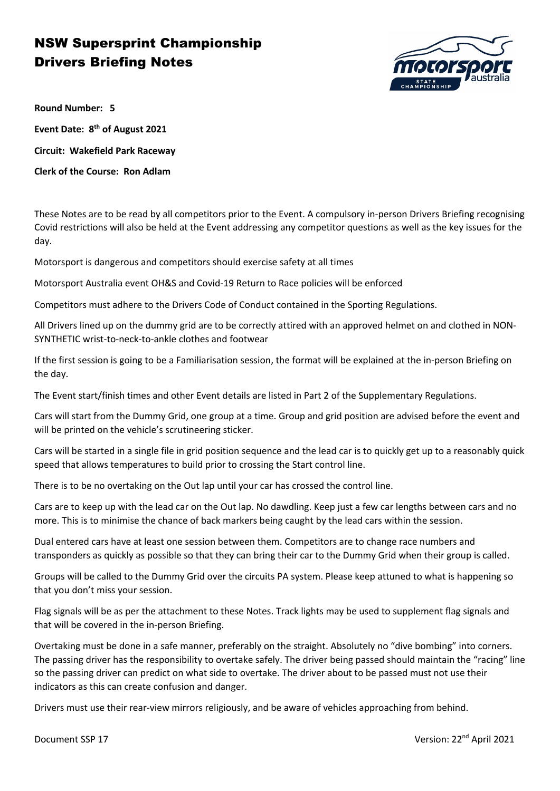

**Round Number: 5**

**Event Date: 8th of August 2021 Circuit: Wakefield Park Raceway Clerk of the Course: Ron Adlam**

These Notes are to be read by all competitors prior to the Event. A compulsory in-person Drivers Briefing recognising Covid restrictions will also be held at the Event addressing any competitor questions as well as the key issues for the day.

Motorsport is dangerous and competitors should exercise safety at all times

Motorsport Australia event OH&S and Covid-19 Return to Race policies will be enforced

Competitors must adhere to the Drivers Code of Conduct contained in the Sporting Regulations.

All Drivers lined up on the dummy grid are to be correctly attired with an approved helmet on and clothed in NON-SYNTHETIC wrist-to-neck-to-ankle clothes and footwear

If the first session is going to be a Familiarisation session, the format will be explained at the in-person Briefing on the day.

The Event start/finish times and other Event details are listed in Part 2 of the Supplementary Regulations.

Cars will start from the Dummy Grid, one group at a time. Group and grid position are advised before the event and will be printed on the vehicle's scrutineering sticker.

Cars will be started in a single file in grid position sequence and the lead car is to quickly get up to a reasonably quick speed that allows temperatures to build prior to crossing the Start control line.

There is to be no overtaking on the Out lap until your car has crossed the control line.

Cars are to keep up with the lead car on the Out lap. No dawdling. Keep just a few car lengths between cars and no more. This is to minimise the chance of back markers being caught by the lead cars within the session.

Dual entered cars have at least one session between them. Competitors are to change race numbers and transponders as quickly as possible so that they can bring their car to the Dummy Grid when their group is called.

Groups will be called to the Dummy Grid over the circuits PA system. Please keep attuned to what is happening so that you don't miss your session.

Flag signals will be as per the attachment to these Notes. Track lights may be used to supplement flag signals and that will be covered in the in-person Briefing.

Overtaking must be done in a safe manner, preferably on the straight. Absolutely no "dive bombing" into corners. The passing driver has the responsibility to overtake safely. The driver being passed should maintain the "racing" line so the passing driver can predict on what side to overtake. The driver about to be passed must not use their indicators as this can create confusion and danger.

Drivers must use their rear-view mirrors religiously, and be aware of vehicles approaching from behind.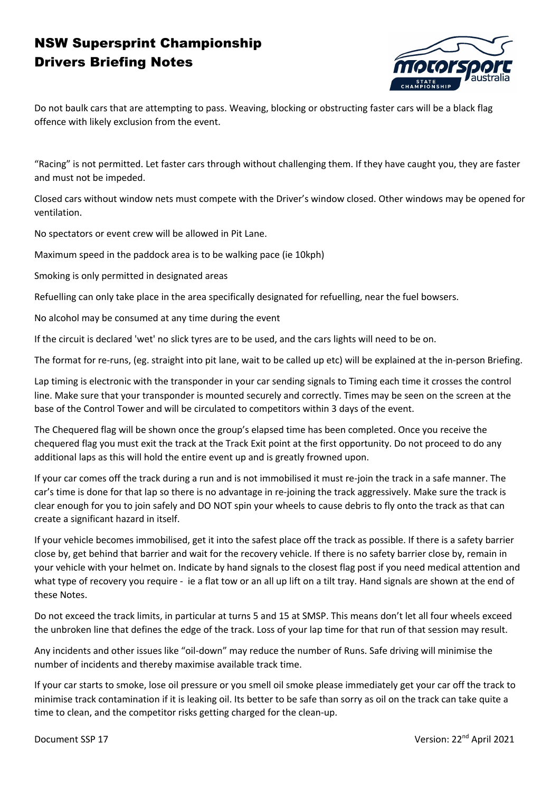

Do not baulk cars that are attempting to pass. Weaving, blocking or obstructing faster cars will be a black flag offence with likely exclusion from the event.

"Racing" is not permitted. Let faster cars through without challenging them. If they have caught you, they are faster and must not be impeded.

Closed cars without window nets must compete with the Driver's window closed. Other windows may be opened for ventilation.

No spectators or event crew will be allowed in Pit Lane.

Maximum speed in the paddock area is to be walking pace (ie 10kph)

Smoking is only permitted in designated areas

Refuelling can only take place in the area specifically designated for refuelling, near the fuel bowsers.

No alcohol may be consumed at any time during the event

If the circuit is declared 'wet' no slick tyres are to be used, and the cars lights will need to be on.

The format for re-runs, (eg. straight into pit lane, wait to be called up etc) will be explained at the in-person Briefing.

Lap timing is electronic with the transponder in your car sending signals to Timing each time it crosses the control line. Make sure that your transponder is mounted securely and correctly. Times may be seen on the screen at the base of the Control Tower and will be circulated to competitors within 3 days of the event.

The Chequered flag will be shown once the group's elapsed time has been completed. Once you receive the chequered flag you must exit the track at the Track Exit point at the first opportunity. Do not proceed to do any additional laps as this will hold the entire event up and is greatly frowned upon.

If your car comes off the track during a run and is not immobilised it must re-join the track in a safe manner. The car's time is done for that lap so there is no advantage in re-joining the track aggressively. Make sure the track is clear enough for you to join safely and DO NOT spin your wheels to cause debris to fly onto the track as that can create a significant hazard in itself.

If your vehicle becomes immobilised, get it into the safest place off the track as possible. If there is a safety barrier close by, get behind that barrier and wait for the recovery vehicle. If there is no safety barrier close by, remain in your vehicle with your helmet on. Indicate by hand signals to the closest flag post if you need medical attention and what type of recovery you require - ie a flat tow or an all up lift on a tilt tray. Hand signals are shown at the end of these Notes.

Do not exceed the track limits, in particular at turns 5 and 15 at SMSP. This means don't let all four wheels exceed the unbroken line that defines the edge of the track. Loss of your lap time for that run of that session may result.

Any incidents and other issues like "oil-down" may reduce the number of Runs. Safe driving will minimise the number of incidents and thereby maximise available track time.

If your car starts to smoke, lose oil pressure or you smell oil smoke please immediately get your car off the track to minimise track contamination if it is leaking oil. Its better to be safe than sorry as oil on the track can take quite a time to clean, and the competitor risks getting charged for the clean-up.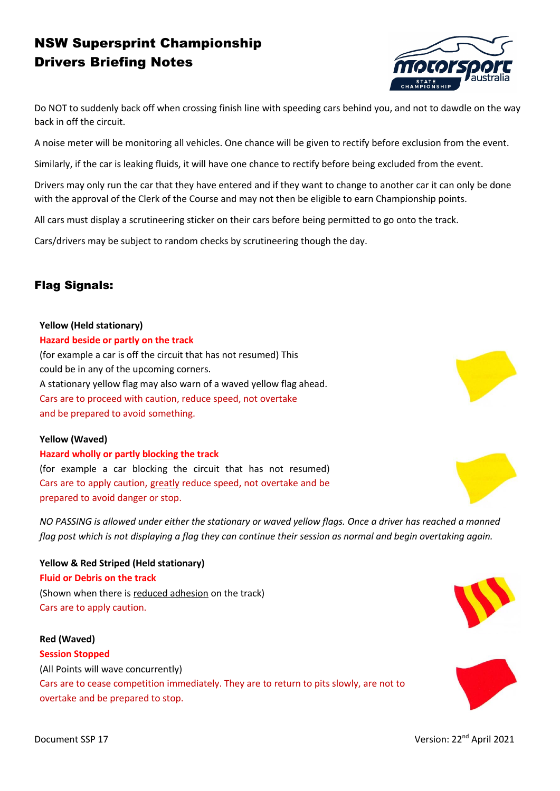

Do NOT to suddenly back off when crossing finish line with speeding cars behind you, and not to dawdle on the way back in off the circuit.

A noise meter will be monitoring all vehicles. One chance will be given to rectify before exclusion from the event.

Similarly, if the car is leaking fluids, it will have one chance to rectify before being excluded from the event.

Drivers may only run the car that they have entered and if they want to change to another car it can only be done with the approval of the Clerk of the Course and may not then be eligible to earn Championship points.

All cars must display a scrutineering sticker on their cars before being permitted to go onto the track.

Cars/drivers may be subject to random checks by scrutineering though the day.

## Flag Signals:

### **Yellow (Held stationary)**

#### **Hazard beside or partly on the track**

(for example a car is off the circuit that has not resumed) This could be in any of the upcoming corners. A stationary yellow flag may also warn of a waved yellow flag ahead. Cars are to proceed with caution, reduce speed, not overtake and be prepared to avoid something.

#### **Yellow (Waved)**

**Hazard wholly or partly blocking the track** (for example a car blocking the circuit that has not resumed) Cars are to apply caution, greatly reduce speed, not overtake and be prepared to avoid danger or stop.

*NO PASSING is allowed under either the stationary or waved yellow flags. Once a driver has reached a manned flag post which is not displaying a flag they can continue their session as normal and begin overtaking again.*

**Yellow & Red Striped (Held stationary) Fluid or Debris on the track** (Shown when there is reduced adhesion on the track) Cars are to apply caution.

**Red (Waved) Session Stopped** (All Points will wave concurrently) Cars are to cease competition immediately. They are to return to pits slowly, are not to overtake and be prepared to stop.